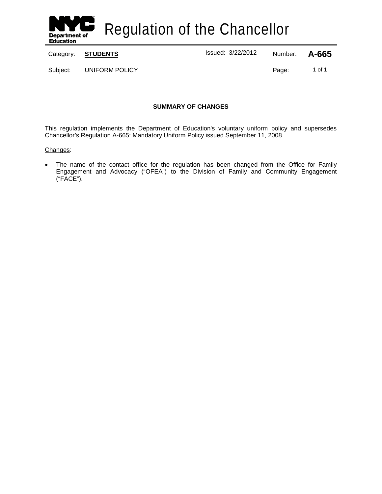

Regulation of the Chancellor

Category: **STUDENTS** Issued: 3/22/2012 Number: **A-665**

Subject: UNIFORM POLICY CONTROLS: 1 of 1

# **SUMMARY OF CHANGES**

This regulation implements the Department of Education's voluntary uniform policy and supersedes Chancellor's Regulation A-665: Mandatory Uniform Policy issued September 11, 2008.

# Changes:

• The name of the contact office for the regulation has been changed from the Office for Family Engagement and Advocacy ("OFEA") to the Division of Family and Community Engagement ("FACE").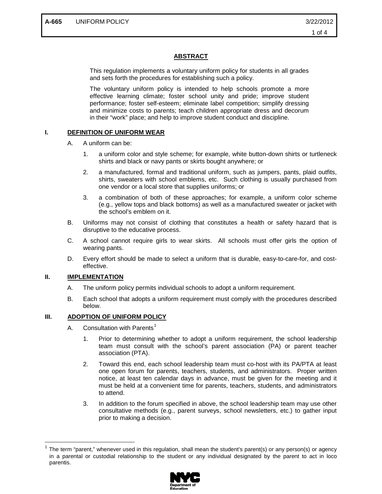# **ABSTRACT**

This regulation implements a voluntary uniform policy for students in all grades and sets forth the procedures for establishing such a policy.

The voluntary uniform policy is intended to help schools promote a more effective learning climate; foster school unity and pride; improve student performance; foster self-esteem; eliminate label competition; simplify dressing and minimize costs to parents; teach children appropriate dress and decorum in their "work" place; and help to improve student conduct and discipline.

### **I. DEFINITION OF UNIFORM WEAR**

- A. A uniform can be:
	- 1. a uniform color and style scheme; for example, white button-down shirts or turtleneck shirts and black or navy pants or skirts bought anywhere; or
	- 2. a manufactured, formal and traditional uniform, such as jumpers, pants, plaid outfits, shirts, sweaters with school emblems, etc. Such clothing is usually purchased from one vendor or a local store that supplies uniforms; or
	- 3. a combination of both of these approaches; for example, a uniform color scheme (e.g., yellow tops and black bottoms) as well as a manufactured sweater or jacket with the school's emblem on it.
- B. Uniforms may not consist of clothing that constitutes a health or safety hazard that is disruptive to the educative process.
- C. A school cannot require girls to wear skirts. All schools must offer girls the option of wearing pants.
- D. Every effort should be made to select a uniform that is durable, easy-to-care-for, and costeffective.

# **II. IMPLEMENTATION**

- A. The uniform policy permits individual schools to adopt a uniform requirement.
- B. Each school that adopts a uniform requirement must comply with the procedures described below.

# **III. ADOPTION OF UNIFORM POLICY**

- A. Consultation with Parents<sup>[1](#page-1-0)</sup>
	- 1. Prior to determining whether to adopt a uniform requirement, the school leadership team must consult with the school's parent association (PA) or parent teacher association (PTA).
	- 2. Toward this end, each school leadership team must co-host with its PA/PTA at least one open forum for parents, teachers, students, and administrators. Proper written notice, at least ten calendar days in advance, must be given for the meeting and it must be held at a convenient time for parents, teachers, students, and administrators to attend.
	- 3. In addition to the forum specified in above, the school leadership team may use other consultative methods (e.g., parent surveys, school newsletters, etc.) to gather input prior to making a decision.

<span id="page-1-0"></span> <sup>1</sup> The term "parent," whenever used in this regulation, shall mean the student's parent(s) or any person(s) or agency in a parental or custodial relationship to the student or any individual designated by the parent to act in loco parentis.

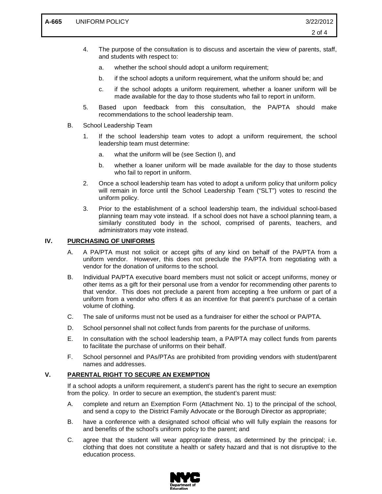- 4. The purpose of the consultation is to discuss and ascertain the view of parents, staff, and students with respect to:
	- a. whether the school should adopt a uniform requirement;
	- b. if the school adopts a uniform requirement, what the uniform should be; and
	- c. if the school adopts a uniform requirement, whether a loaner uniform will be made available for the day to those students who fail to report in uniform.
- 5. Based upon feedback from this consultation, the PA/PTA should make recommendations to the school leadership team.
- B. School Leadership Team
	- 1. If the school leadership team votes to adopt a uniform requirement, the school leadership team must determine:
		- a. what the uniform will be (see Section I), and
		- b. whether a loaner uniform will be made available for the day to those students who fail to report in uniform.
	- 2. Once a school leadership team has voted to adopt a uniform policy that uniform policy will remain in force until the School Leadership Team ("SLT") votes to rescind the uniform policy.
	- 3. Prior to the establishment of a school leadership team, the individual school-based planning team may vote instead. If a school does not have a school planning team, a similarly constituted body in the school, comprised of parents, teachers, and administrators may vote instead.

### **IV. PURCHASING OF UNIFORMS**

- A. A PA/PTA must not solicit or accept gifts of any kind on behalf of the PA/PTA from a uniform vendor. However, this does not preclude the PA/PTA from negotiating with a vendor for the donation of uniforms to the school.
- B. Individual PA/PTA executive board members must not solicit or accept uniforms, money or other items as a gift for their personal use from a vendor for recommending other parents to that vendor. This does not preclude a parent from accepting a free uniform or part of a uniform from a vendor who offers it as an incentive for that parent's purchase of a certain volume of clothing.
- C. The sale of uniforms must not be used as a fundraiser for either the school or PA/PTA.
- D. School personnel shall not collect funds from parents for the purchase of uniforms.
- E. In consultation with the school leadership team, a PA/PTA may collect funds from parents to facilitate the purchase of uniforms on their behalf.
- F. School personnel and PAs/PTAs are prohibited from providing vendors with student/parent names and addresses.

### **V. PARENTAL RIGHT TO SECURE AN EXEMPTION**

If a school adopts a uniform requirement, a student's parent has the right to secure an exemption from the policy. In order to secure an exemption, the student's parent must:

- A. complete and return an Exemption Form (Attachment No. 1) to the principal of the school, and send a copy to the District Family Advocate or the Borough Director as appropriate;
- B. have a conference with a designated school official who will fully explain the reasons for and benefits of the school's uniform policy to the parent; and
- C. agree that the student will wear appropriate dress, as determined by the principal; i.e. clothing that does not constitute a health or safety hazard and that is not disruptive to the education process.

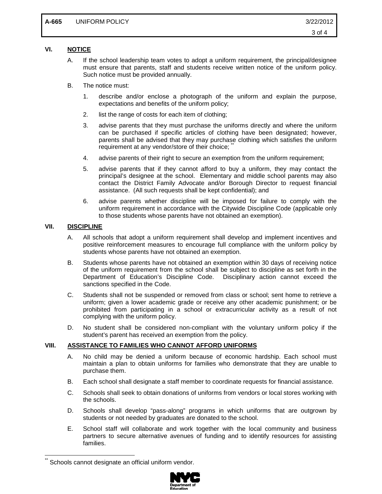# **VI. NOTICE**

- A. If the school leadership team votes to adopt a uniform requirement, the principal/designee must ensure that parents, staff and students receive written notice of the uniform policy. Such notice must be provided annually.
- B. The notice must:
	- 1. describe and/or enclose a photograph of the uniform and explain the purpose, expectations and benefits of the uniform policy;
	- 2. list the range of costs for each item of clothing;
	- 3. advise parents that they must purchase the uniforms directly and where the uniform can be purchased if specific articles of clothing have been designated; however, parents shall be advised that they may purchase clothing which satisfies the uniform requirement at any vendor/store of their choice;
	- 4. advise parents of their right to secure an exemption from the uniform requirement;
	- 5. advise parents that if they cannot afford to buy a uniform, they may contact the principal's designee at the school. Elementary and middle school parents may also contact the District Family Advocate and/or Borough Director to request financial assistance. (All such requests shall be kept confidential); and
	- 6. advise parents whether discipline will be imposed for failure to comply with the uniform requirement in accordance with the Citywide Discipline Code (applicable only to those students whose parents have not obtained an exemption).

# **VII. DISCIPLINE**

- A. All schools that adopt a uniform requirement shall develop and implement incentives and positive reinforcement measures to encourage full compliance with the uniform policy by students whose parents have not obtained an exemption.
- B. Students whose parents have not obtained an exemption within 30 days of receiving notice of the uniform requirement from the school shall be subject to discipline as set forth in the Department of Education's Discipline Code. Disciplinary action cannot exceed the sanctions specified in the Code.
- C. Students shall not be suspended or removed from class or school; sent home to retrieve a uniform; given a lower academic grade or receive any other academic punishment; or be prohibited from participating in a school or extracurricular activity as a result of not complying with the uniform policy.
- D. No student shall be considered non-compliant with the voluntary uniform policy if the student's parent has received an exemption from the policy.

#### **VIII. ASSISTANCE TO FAMILIES WHO CANNOT AFFORD UNIFORMS**

- A. No child may be denied a uniform because of economic hardship. Each school must maintain a plan to obtain uniforms for families who demonstrate that they are unable to purchase them.
- B. Each school shall designate a staff member to coordinate requests for financial assistance.
- C. Schools shall seek to obtain donations of uniforms from vendors or local stores working with the schools.
- D. Schools shall develop "pass-along" programs in which uniforms that are outgrown by students or not needed by graduates are donated to the school.
- E. School staff will collaborate and work together with the local community and business partners to secure alternative avenues of funding and to identify resources for assisting families.

<span id="page-3-0"></span>Schools cannot designate an official uniform vendor.

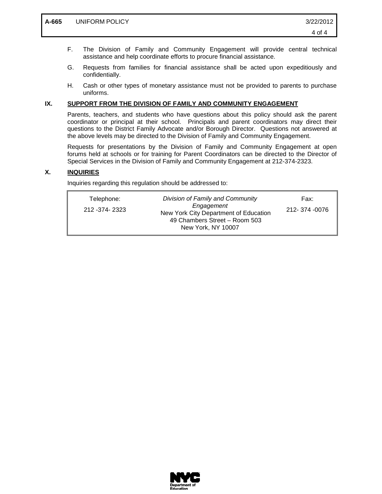- F. The Division of Family and Community Engagement will provide central technical assistance and help coordinate efforts to procure financial assistance.
- G. Requests from families for financial assistance shall be acted upon expeditiously and confidentially.
- H. Cash or other types of monetary assistance must not be provided to parents to purchase uniforms.

#### **IX. SUPPORT FROM THE DIVISION OF FAMILY AND COMMUNITY ENGAGEMENT**

Parents, teachers, and students who have questions about this policy should ask the parent coordinator or principal at their school. Principals and parent coordinators may direct their questions to the District Family Advocate and/or Borough Director. Questions not answered at the above levels may be directed to the Division of Family and Community Engagement.

Requests for presentations by the Division of Family and Community Engagement at open forums held at schools or for training for Parent Coordinators can be directed to the Director of Special Services in the Division of Family and Community Engagement at 212-374-2323.

### **X. INQUIRIES**

Inquiries regarding this regulation should be addressed to:

| Telephone:       | Division of Family and Community                                                                           | Fax:          |
|------------------|------------------------------------------------------------------------------------------------------------|---------------|
| 212 - 374 - 2323 | Engagement<br>New York City Department of Education<br>49 Chambers Street - Room 503<br>New York, NY 10007 | 212-374 -0076 |
|                  |                                                                                                            |               |